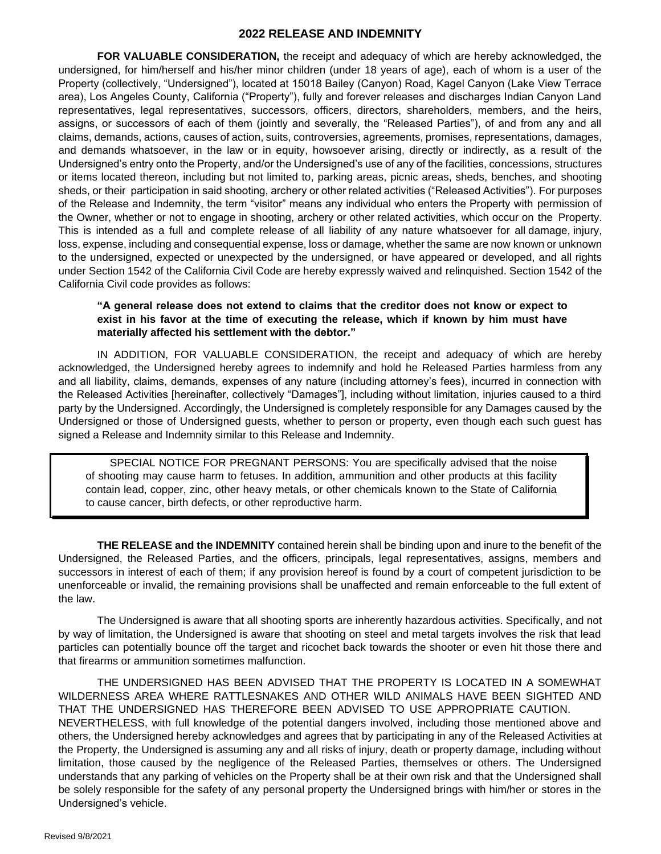#### **2022 RELEASE AND INDEMNITY**

**FOR VALUABLE CONSIDERATION,** the receipt and adequacy of which are hereby acknowledged, the undersigned, for him/herself and his/her minor children (under 18 years of age), each of whom is a user of the Property (collectively, "Undersigned"), located at 15018 Bailey (Canyon) Road, Kagel Canyon (Lake View Terrace area), Los Angeles County, California ("Property"), fully and forever releases and discharges Indian Canyon Land representatives, legal representatives, successors, officers, directors, shareholders, members, and the heirs, assigns, or successors of each of them (jointly and severally, the "Released Parties"), of and from any and all claims, demands, actions, causes of action, suits, controversies, agreements, promises, representations, damages, and demands whatsoever, in the law or in equity, howsoever arising, directly or indirectly, as a result of the Undersigned's entry onto the Property, and/or the Undersigned's use of any of the facilities, concessions, structures or items located thereon, including but not limited to, parking areas, picnic areas, sheds, benches, and shooting sheds, or their participation in said shooting, archery or other related activities ("Released Activities"). For purposes of the Release and Indemnity, the term "visitor" means any individual who enters the Property with permission of the Owner, whether or not to engage in shooting, archery or other related activities, which occur on the Property. This is intended as a full and complete release of all liability of any nature whatsoever for all damage, injury, loss, expense, including and consequential expense, loss or damage, whether the same are now known or unknown to the undersigned, expected or unexpected by the undersigned, or have appeared or developed, and all rights under Section 1542 of the California Civil Code are hereby expressly waived and relinquished. Section 1542 of the California Civil code provides as follows:

### **"A general release does not extend to claims that the creditor does not know or expect to exist in his favor at the time of executing the release, which if known by him must have materially affected his settlement with the debtor."**

IN ADDITION, FOR VALUABLE CONSIDERATION, the receipt and adequacy of which are hereby acknowledged, the Undersigned hereby agrees to indemnify and hold he Released Parties harmless from any and all liability, claims, demands, expenses of any nature (including attorney's fees), incurred in connection with the Released Activities [hereinafter, collectively "Damages"], including without limitation, injuries caused to a third party by the Undersigned. Accordingly, the Undersigned is completely responsible for any Damages caused by the Undersigned or those of Undersigned guests, whether to person or property, even though each such guest has signed a Release and Indemnity similar to this Release and Indemnity.

SPECIAL NOTICE FOR PREGNANT PERSONS: You are specifically advised that the noise of shooting may cause harm to fetuses. In addition, ammunition and other products at this facility contain lead, copper, zinc, other heavy metals, or other chemicals known to the State of California to cause cancer, birth defects, or other reproductive harm.

**THE RELEASE and the INDEMNITY** contained herein shall be binding upon and inure to the benefit of the Undersigned, the Released Parties, and the officers, principals, legal representatives, assigns, members and successors in interest of each of them; if any provision hereof is found by a court of competent jurisdiction to be unenforceable or invalid, the remaining provisions shall be unaffected and remain enforceable to the full extent of the law.

The Undersigned is aware that all shooting sports are inherently hazardous activities. Specifically, and not by way of limitation, the Undersigned is aware that shooting on steel and metal targets involves the risk that lead particles can potentially bounce off the target and ricochet back towards the shooter or even hit those there and that firearms or ammunition sometimes malfunction.

THE UNDERSIGNED HAS BEEN ADVISED THAT THE PROPERTY IS LOCATED IN A SOMEWHAT WILDERNESS AREA WHERE RATTLESNAKES AND OTHER WILD ANIMALS HAVE BEEN SIGHTED AND THAT THE UNDERSIGNED HAS THEREFORE BEEN ADVISED TO USE APPROPRIATE CAUTION. NEVERTHELESS, with full knowledge of the potential dangers involved, including those mentioned above and others, the Undersigned hereby acknowledges and agrees that by participating in any of the Released Activities at the Property, the Undersigned is assuming any and all risks of injury, death or property damage, including without limitation, those caused by the negligence of the Released Parties, themselves or others. The Undersigned understands that any parking of vehicles on the Property shall be at their own risk and that the Undersigned shall be solely responsible for the safety of any personal property the Undersigned brings with him/her or stores in the Undersigned's vehicle.